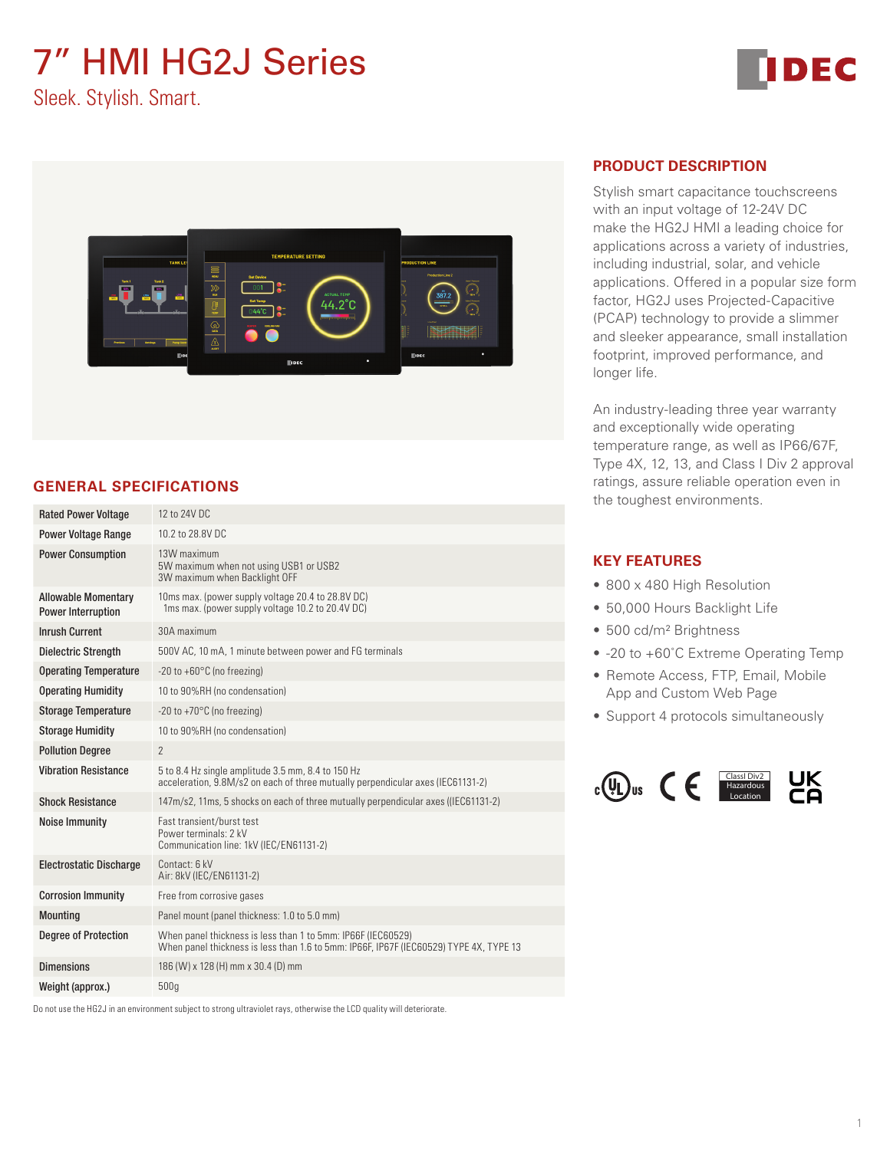# 7" HMI HG2J Series



Sleek. Stylish. Smart.



# **GENERAL SPECIFICATIONS**

| <b>Rated Power Voltage</b>                              | 12 to 24V DC                                                                                                                                           |  |  |  |
|---------------------------------------------------------|--------------------------------------------------------------------------------------------------------------------------------------------------------|--|--|--|
| <b>Power Voltage Range</b>                              | 10.2 to 28.8V DC                                                                                                                                       |  |  |  |
| <b>Power Consumption</b>                                | 13W maximum<br>5W maximum when not using USB1 or USB2<br>3W maximum when Backlight OFF                                                                 |  |  |  |
| <b>Allowable Momentary</b><br><b>Power Interruption</b> | 10ms max. (power supply voltage 20.4 to 28.8V DC)<br>1ms max. (power supply voltage 10.2 to 20.4V DC)                                                  |  |  |  |
| <b>Inrush Current</b>                                   | 30A maximum                                                                                                                                            |  |  |  |
| <b>Dielectric Strength</b>                              | 500V AC, 10 mA, 1 minute between power and FG terminals                                                                                                |  |  |  |
| <b>Operating Temperature</b>                            | $-20$ to $+60^{\circ}$ C (no freezing)                                                                                                                 |  |  |  |
| <b>Operating Humidity</b>                               | 10 to 90%RH (no condensation)                                                                                                                          |  |  |  |
| <b>Storage Temperature</b>                              | -20 to +70 $^{\circ}$ C (no freezing)                                                                                                                  |  |  |  |
| <b>Storage Humidity</b>                                 | 10 to 90%RH (no condensation)                                                                                                                          |  |  |  |
| <b>Pollution Degree</b>                                 | $\overline{2}$                                                                                                                                         |  |  |  |
| <b>Vibration Resistance</b>                             | 5 to 8.4 Hz single amplitude 3.5 mm, 8.4 to 150 Hz<br>acceleration, 9.8M/s2 on each of three mutually perpendicular axes (IEC61131-2)                  |  |  |  |
| <b>Shock Resistance</b>                                 | 147m/s2, 11ms, 5 shocks on each of three mutually perpendicular axes ((IEC61131-2)                                                                     |  |  |  |
| <b>Noise Immunity</b>                                   | Fast transient/burst test<br>Power terminals: 2 kV<br>Communication line: 1kV (IEC/EN61131-2)                                                          |  |  |  |
| <b>Electrostatic Discharge</b>                          | Contact: 6 kV<br>Air: 8kV (IEC/EN61131-2)                                                                                                              |  |  |  |
| <b>Corrosion Immunity</b>                               | Free from corrosive gases                                                                                                                              |  |  |  |
| <b>Mounting</b>                                         | Panel mount (panel thickness: 1.0 to 5.0 mm)                                                                                                           |  |  |  |
| <b>Degree of Protection</b>                             | When panel thickness is less than 1 to 5mm: IP66F (IEC60529)<br>When panel thickness is less than 1.6 to 5mm: IP66F, IP67F (IEC60529) TYPE 4X, TYPE 13 |  |  |  |
| <b>Dimensions</b>                                       | 186 (W) x 128 (H) mm x 30.4 (D) mm                                                                                                                     |  |  |  |
| Weight (approx.)                                        | 500q                                                                                                                                                   |  |  |  |

Do not use the HG2J in an environment subject to strong ultraviolet rays, otherwise the LCD quality will deteriorate.

### **PRODUCT DESCRIPTION**

Stylish smart capacitance touchscreens with an input voltage of 12-24V DC make the HG2J HMI a leading choice for applications across a variety of industries, including industrial, solar, and vehicle applications. Offered in a popular size form factor, HG2J uses Projected-Capacitive (PCAP) technology to provide a slimmer and sleeker appearance, small installation footprint, improved performance, and longer life.

An industry-leading three year warranty and exceptionally wide operating temperature range, as well as IP66/67F, Type 4X, 12, 13, and Class I Div 2 approval ratings, assure reliable operation even in the toughest environments.

#### **KEY FEATURES**

- 800 x 480 High Resolution
- 50,000 Hours Backlight Life
- 500 cd/m² Brightness
- -20 to +60°C Extreme Operating Temp
- Remote Access, FTP, Email, Mobile App and Custom Web Page
- Support 4 protocols simultaneously